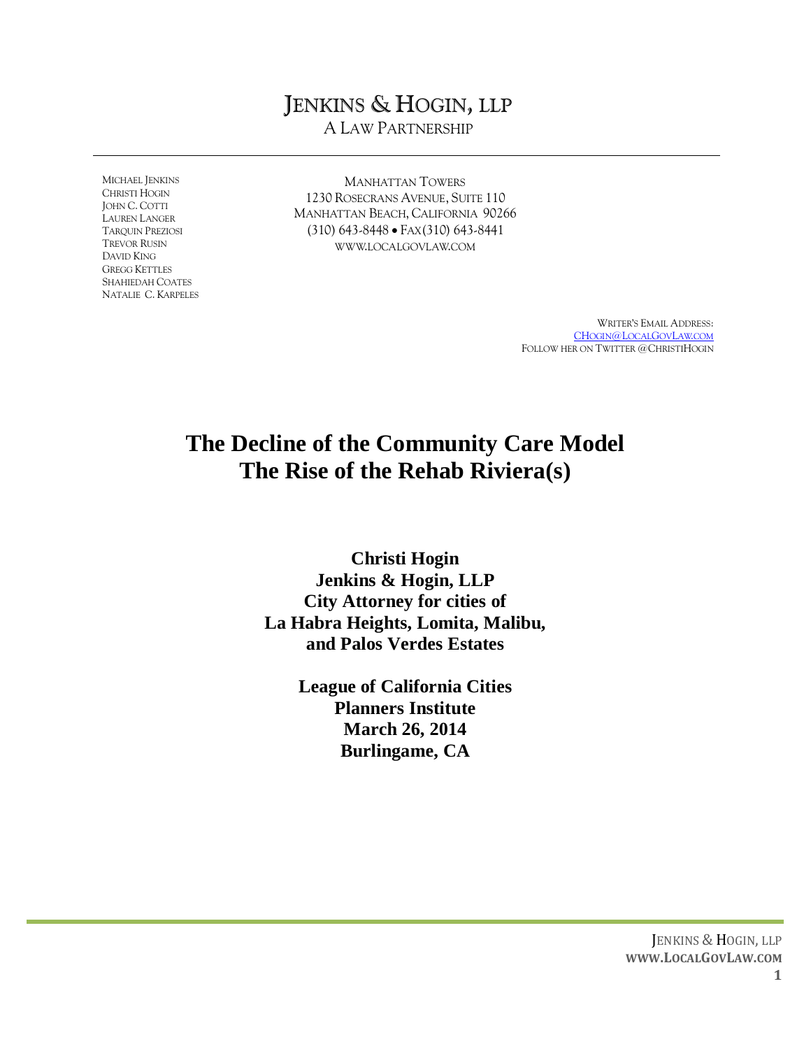# JENKINS & HOGIN, LLP

A LAW PARTNERSHIP

MICHAEL JENKINS CHRISTI HOGIN JOHN C. COTTI LAUREN LANGER TARQUIN PREZIOSI TREVOR RUSIN DAVID KING GREGG KETTLES SHAHIEDAH COATES NATALIE C. KARPELES

MANHATTAN TOWERS 1230 ROSECRANS AVENUE, SUITE 110 MANHATTAN BEACH, CALIFORNIA 90266 (310) 643-8448 FAX(310) 643-8441 WWW.LOCALGOVLAW.COM

> WRITER'S EMAIL ADDRESS: CHOGIN@L[OCAL](mailto:CHogin@LocalGovLaw.com)GOVLAW.COM FOLLOW HER ON TWITTER @CHRISTIHOGIN

# **The Decline of the Community Care Model The Rise of the Rehab Riviera(s)**

**Christi Hogin Jenkins & Hogin, LLP City Attorney for cities of La Habra Heights, Lomita, Malibu, and Palos Verdes Estates**

> **League of California Cities Planners Institute March 26, 2014 Burlingame, CA**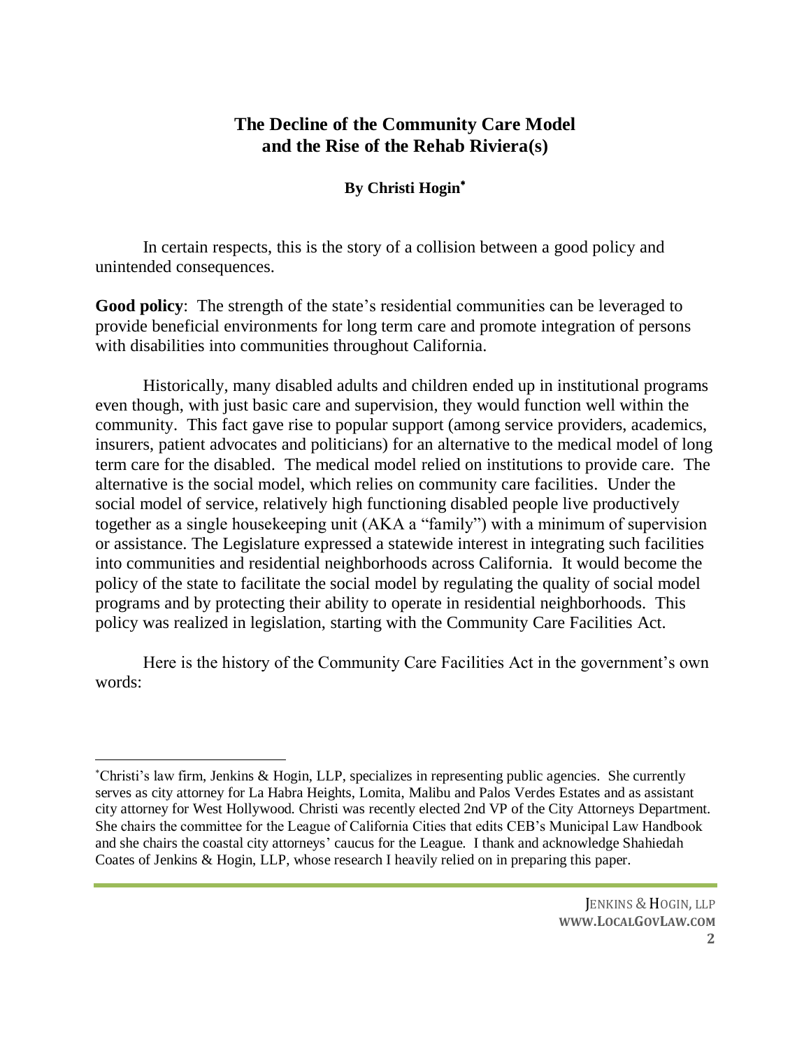## **The Decline of the Community Care Model and the Rise of the Rehab Riviera(s)**

### **By Christi Hogin**

In certain respects, this is the story of a collision between a good policy and unintended consequences.

**Good policy**: The strength of the state's residential communities can be leveraged to provide beneficial environments for long term care and promote integration of persons with disabilities into communities throughout California.

Historically, many disabled adults and children ended up in institutional programs even though, with just basic care and supervision, they would function well within the community. This fact gave rise to popular support (among service providers, academics, insurers, patient advocates and politicians) for an alternative to the medical model of long term care for the disabled. The medical model relied on institutions to provide care. The alternative is the social model, which relies on community care facilities. Under the social model of service, relatively high functioning disabled people live productively together as a single housekeeping unit (AKA a "family") with a minimum of supervision or assistance. The Legislature expressed a statewide interest in integrating such facilities into communities and residential neighborhoods across California. It would become the policy of the state to facilitate the social model by regulating the quality of social model programs and by protecting their ability to operate in residential neighborhoods. This policy was realized in legislation, starting with the Community Care Facilities Act.

Here is the history of the Community Care Facilities Act in the government's own words:

 $\overline{a}$ Christi's law firm, Jenkins & Hogin, LLP, specializes in representing public agencies. She currently serves as city attorney for La Habra Heights, Lomita, Malibu and Palos Verdes Estates and as assistant city attorney for West Hollywood. Christi was recently elected 2nd VP of the City Attorneys Department. She chairs the committee for the League of California Cities that edits CEB's Municipal Law Handbook and she chairs the coastal city attorneys' caucus for the League. I thank and acknowledge Shahiedah Coates of Jenkins & Hogin, LLP, whose research I heavily relied on in preparing this paper.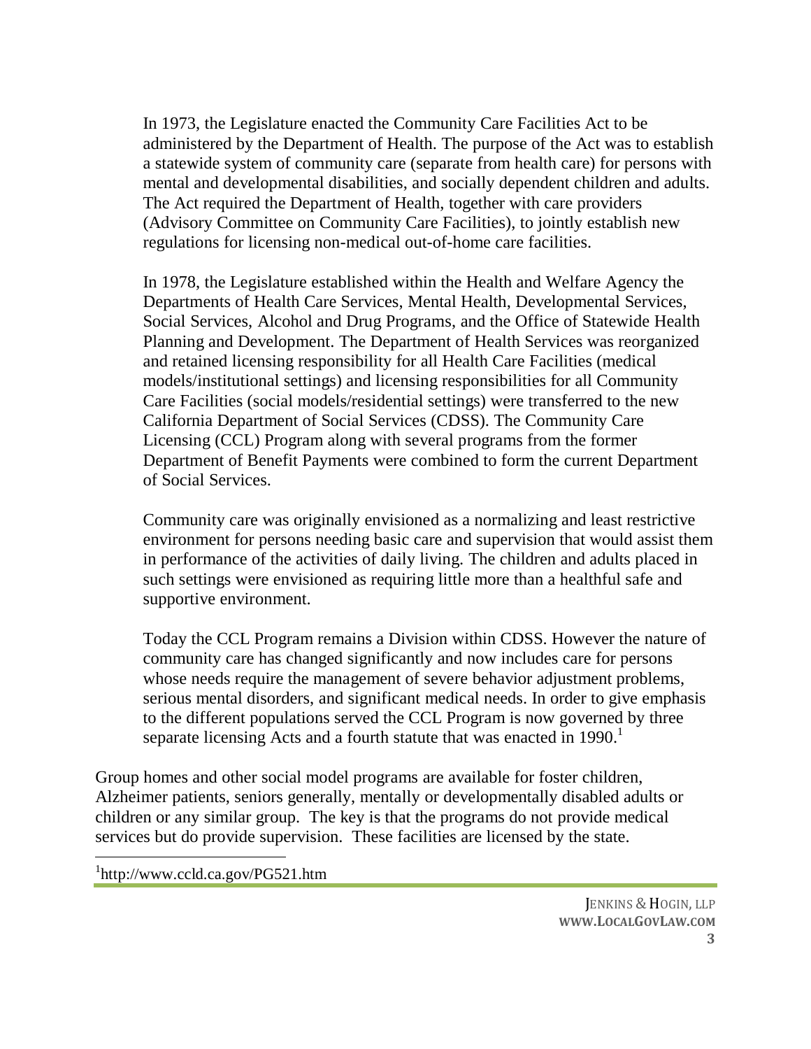In 1973, the Legislature enacted the Community Care Facilities Act to be administered by the Department of Health. The purpose of the Act was to establish a statewide system of community care (separate from health care) for persons with mental and developmental disabilities, and socially dependent children and adults. The Act required the Department of Health, together with care providers (Advisory Committee on Community Care Facilities), to jointly establish new regulations for licensing non-medical out-of-home care facilities.

In 1978, the Legislature established within the Health and Welfare Agency the Departments of Health Care Services, Mental Health, Developmental Services, Social Services, Alcohol and Drug Programs, and the Office of Statewide Health Planning and Development. The Department of Health Services was reorganized and retained licensing responsibility for all Health Care Facilities (medical models/institutional settings) and licensing responsibilities for all Community Care Facilities (social models/residential settings) were transferred to the new California Department of Social Services (CDSS). The Community Care Licensing (CCL) Program along with several programs from the former Department of Benefit Payments were combined to form the current Department of Social Services.

Community care was originally envisioned as a normalizing and least restrictive environment for persons needing basic care and supervision that would assist them in performance of the activities of daily living. The children and adults placed in such settings were envisioned as requiring little more than a healthful safe and supportive environment.

Today the CCL Program remains a Division within CDSS. However the nature of community care has changed significantly and now includes care for persons whose needs require the management of severe behavior adjustment problems, serious mental disorders, and significant medical needs. In order to give emphasis to the different populations served the CCL Program is now governed by three separate licensing Acts and a fourth statute that was enacted in  $1990<sup>1</sup>$ 

Group homes and other social model programs are available for foster children, Alzheimer patients, seniors generally, mentally or developmentally disabled adults or children or any similar group. The key is that the programs do not provide medical services but do provide supervision. These facilities are licensed by the state.

1 http://www.ccld.ca.gov/PG521.htm

 $\overline{a}$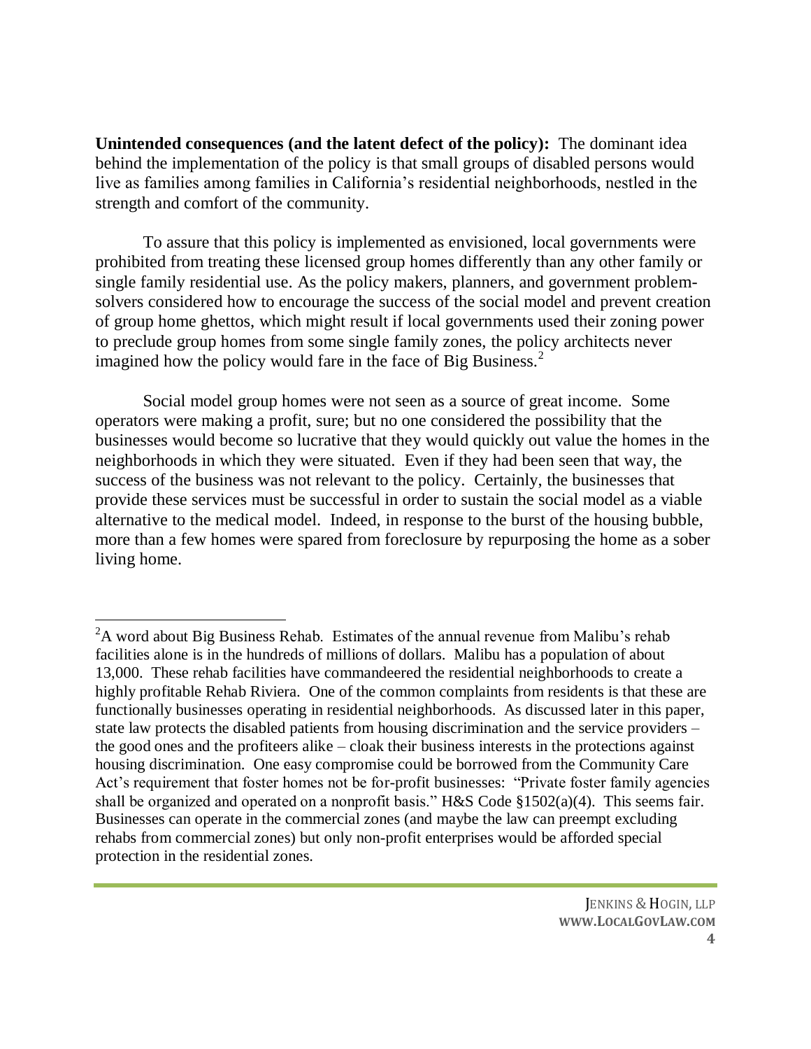**Unintended consequences (and the latent defect of the policy):** The dominant idea behind the implementation of the policy is that small groups of disabled persons would live as families among families in California's residential neighborhoods, nestled in the strength and comfort of the community.

To assure that this policy is implemented as envisioned, local governments were prohibited from treating these licensed group homes differently than any other family or single family residential use. As the policy makers, planners, and government problemsolvers considered how to encourage the success of the social model and prevent creation of group home ghettos, which might result if local governments used their zoning power to preclude group homes from some single family zones, the policy architects never imagined how the policy would fare in the face of Big Business.<sup>2</sup>

Social model group homes were not seen as a source of great income. Some operators were making a profit, sure; but no one considered the possibility that the businesses would become so lucrative that they would quickly out value the homes in the neighborhoods in which they were situated. Even if they had been seen that way, the success of the business was not relevant to the policy. Certainly, the businesses that provide these services must be successful in order to sustain the social model as a viable alternative to the medical model. Indeed, in response to the burst of the housing bubble, more than a few homes were spared from foreclosure by repurposing the home as a sober living home.

 ${}^{2}$ A word about Big Business Rehab. Estimates of the annual revenue from Malibu's rehab facilities alone is in the hundreds of millions of dollars. Malibu has a population of about 13,000. These rehab facilities have commandeered the residential neighborhoods to create a highly profitable Rehab Riviera. One of the common complaints from residents is that these are functionally businesses operating in residential neighborhoods. As discussed later in this paper, state law protects the disabled patients from housing discrimination and the service providers – the good ones and the profiteers alike – cloak their business interests in the protections against housing discrimination. One easy compromise could be borrowed from the Community Care Act's requirement that foster homes not be for-profit businesses: "Private foster family agencies shall be organized and operated on a nonprofit basis." H&S Code §1502(a)(4). This seems fair. Businesses can operate in the commercial zones (and maybe the law can preempt excluding rehabs from commercial zones) but only non-profit enterprises would be afforded special protection in the residential zones.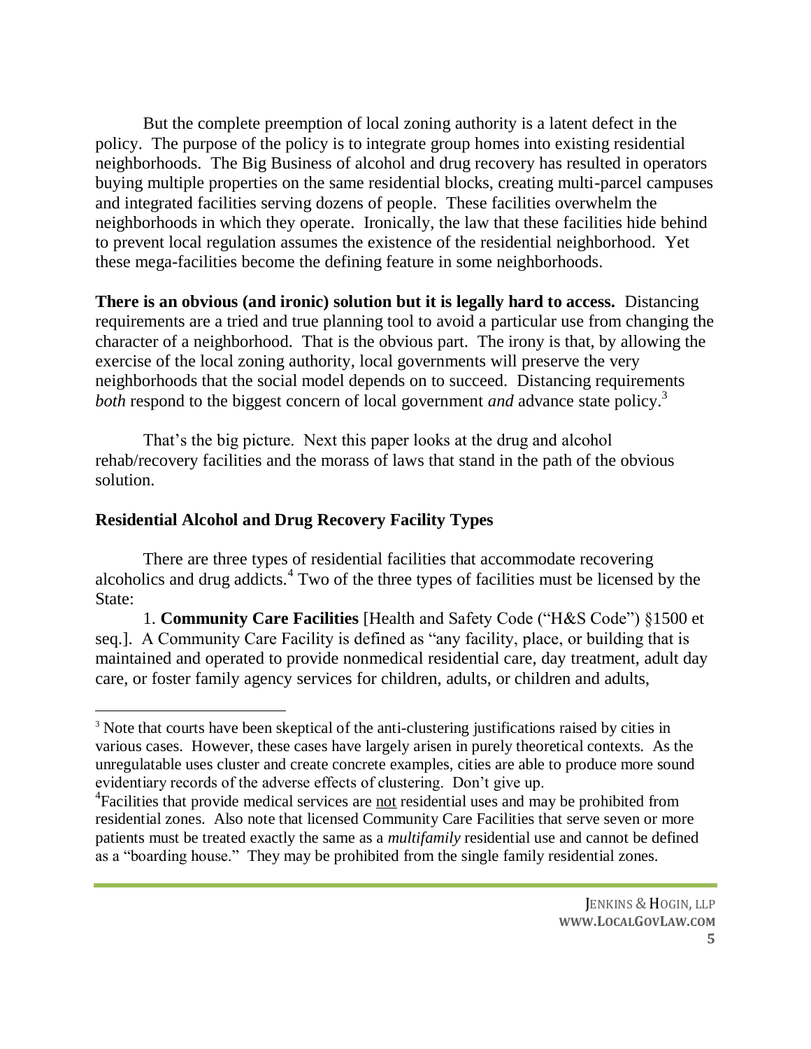But the complete preemption of local zoning authority is a latent defect in the policy. The purpose of the policy is to integrate group homes into existing residential neighborhoods. The Big Business of alcohol and drug recovery has resulted in operators buying multiple properties on the same residential blocks, creating multi-parcel campuses and integrated facilities serving dozens of people. These facilities overwhelm the neighborhoods in which they operate. Ironically, the law that these facilities hide behind to prevent local regulation assumes the existence of the residential neighborhood. Yet these mega-facilities become the defining feature in some neighborhoods.

**There is an obvious (and ironic) solution but it is legally hard to access.** Distancing requirements are a tried and true planning tool to avoid a particular use from changing the character of a neighborhood. That is the obvious part. The irony is that, by allowing the exercise of the local zoning authority, local governments will preserve the very neighborhoods that the social model depends on to succeed. Distancing requirements *both* respond to the biggest concern of local government *and* advance state policy.<sup>3</sup>

That's the big picture. Next this paper looks at the drug and alcohol rehab/recovery facilities and the morass of laws that stand in the path of the obvious solution.

#### **Residential Alcohol and Drug Recovery Facility Types**

 $\overline{a}$ 

There are three types of residential facilities that accommodate recovering alcoholics and drug addicts.<sup>4</sup> Two of the three types of facilities must be licensed by the State:

1. **Community Care Facilities** [Health and Safety Code ("H&S Code") §1500 et seq.]. A Community Care Facility is defined as "any facility, place, or building that is maintained and operated to provide nonmedical residential care, day treatment, adult day care, or foster family agency services for children, adults, or children and adults,

<sup>&</sup>lt;sup>3</sup> Note that courts have been skeptical of the anti-clustering justifications raised by cities in various cases. However, these cases have largely arisen in purely theoretical contexts. As the unregulatable uses cluster and create concrete examples, cities are able to produce more sound evidentiary records of the adverse effects of clustering. Don't give up.

<sup>&</sup>lt;sup>4</sup> Facilities that provide medical services are not residential uses and may be prohibited from residential zones. Also note that licensed Community Care Facilities that serve seven or more patients must be treated exactly the same as a *multifamily* residential use and cannot be defined as a "boarding house." They may be prohibited from the single family residential zones.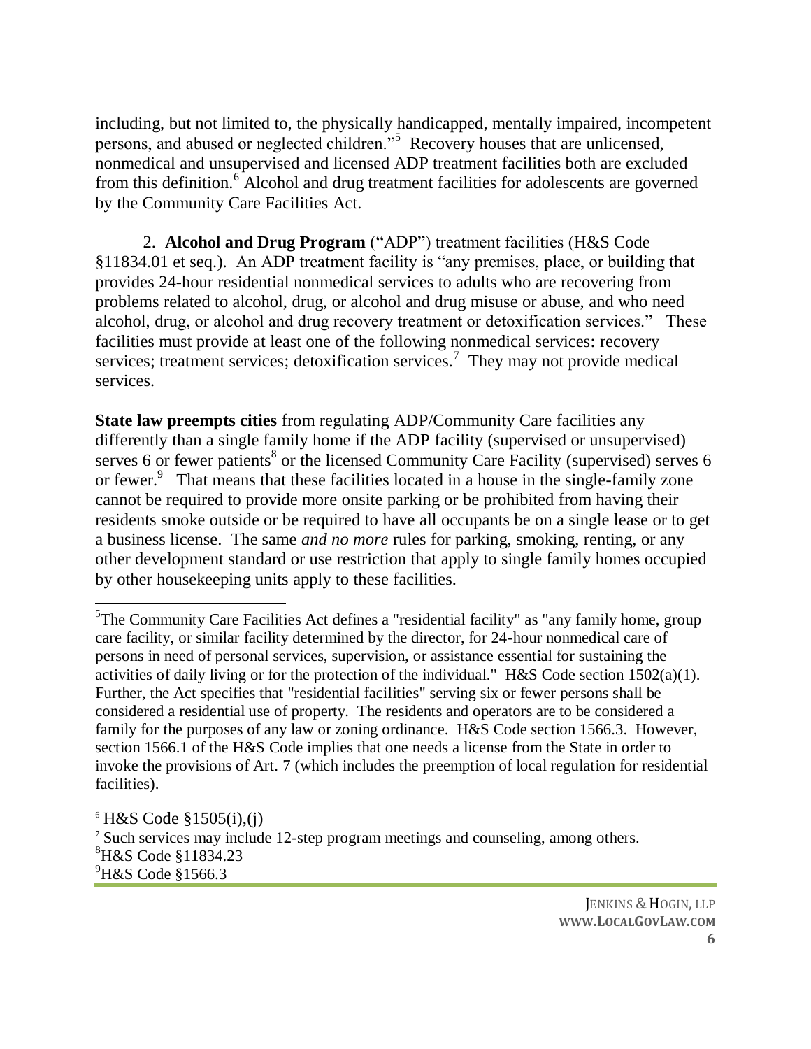including, but not limited to, the physically handicapped, mentally impaired, incompetent persons, and abused or neglected children."<sup>5</sup> Recovery houses that are unlicensed, nonmedical and unsupervised and licensed ADP treatment facilities both are excluded from this definition.<sup>6</sup> Alcohol and drug treatment facilities for adolescents are governed by the Community Care Facilities Act.

2. **Alcohol and Drug Program** ("ADP") treatment facilities (H&S Code §11834.01 et seq.). An ADP treatment facility is "any premises, place, or building that provides 24-hour residential nonmedical services to adults who are recovering from problems related to alcohol, drug, or alcohol and drug misuse or abuse, and who need alcohol, drug, or alcohol and drug recovery treatment or detoxification services." These facilities must provide at least one of the following nonmedical services: recovery services; treatment services; detoxification services.<sup>7</sup> They may not provide medical services.

**State law preempts cities** from regulating ADP/Community Care facilities any differently than a single family home if the ADP facility (supervised or unsupervised) serves 6 or fewer patients<sup>8</sup> or the licensed Community Care Facility (supervised) serves 6 or fewer.<sup>9</sup> That means that these facilities located in a house in the single-family zone cannot be required to provide more onsite parking or be prohibited from having their residents smoke outside or be required to have all occupants be on a single lease or to get a business license. The same *and no more* rules for parking, smoking, renting, or any other development standard or use restriction that apply to single family homes occupied by other housekeeping units apply to these facilities.

<sup>&</sup>lt;sup>5</sup>The Community Care Facilities Act defines a "residential facility" as "any family home, group care facility, or similar facility determined by the director, for 24-hour nonmedical care of persons in need of personal services, supervision, or assistance essential for sustaining the activities of daily living or for the protection of the individual." H&S Code section 1502(a)(1). Further, the Act specifies that "residential facilities" serving six or fewer persons shall be considered a residential use of property. The residents and operators are to be considered a family for the purposes of any law or zoning ordinance. H&S Code section 1566.3. However, section 1566.1 of the H&S Code implies that one needs a license from the State in order to invoke the provisions of Art. 7 (which includes the preemption of local regulation for residential facilities).

 $6$  H&S Code §1505(i),(j) <sup>7</sup> Such services may include 12-step program meetings and counseling, among others. <sup>8</sup>H&S Code §11834.23  $^{9}$ H&S Code §1566.3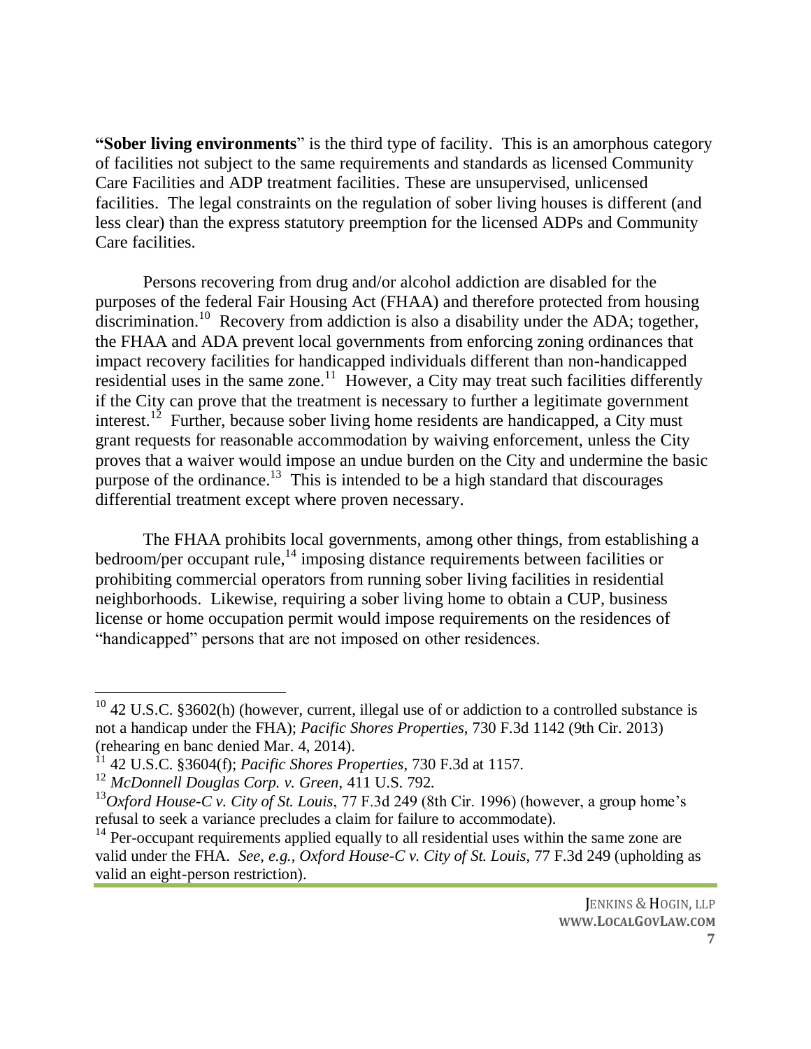**"Sober living environments**" is the third type of facility. This is an amorphous category of facilities not subject to the same requirements and standards as licensed Community Care Facilities and ADP treatment facilities. These are unsupervised, unlicensed facilities. The legal constraints on the regulation of sober living houses is different (and less clear) than the express statutory preemption for the licensed ADPs and Community Care facilities.

Persons recovering from drug and/or alcohol addiction are disabled for the purposes of the federal Fair Housing Act (FHAA) and therefore protected from housing discrimination.<sup>10</sup> Recovery from addiction is also a disability under the ADA; together, the FHAA and ADA prevent local governments from enforcing zoning ordinances that impact recovery facilities for handicapped individuals different than non-handicapped residential uses in the same zone.<sup>11</sup> However, a City may treat such facilities differently if the City can prove that the treatment is necessary to further a legitimate government interest.<sup>12</sup> Further, because sober living home residents are handicapped, a City must grant requests for reasonable accommodation by waiving enforcement, unless the City proves that a waiver would impose an undue burden on the City and undermine the basic purpose of the ordinance.<sup>13</sup> This is intended to be a high standard that discourages differential treatment except where proven necessary.

The FHAA prohibits local governments, among other things, from establishing a bedroom/per occupant rule, $^{14}$  imposing distance requirements between facilities or prohibiting commercial operators from running sober living facilities in residential neighborhoods. Likewise, requiring a sober living home to obtain a CUP, business license or home occupation permit would impose requirements on the residences of "handicapped" persons that are not imposed on other residences.

 $10$  42 U.S.C. §3602(h) (however, current, illegal use of or addiction to a controlled substance is not a handicap under the FHA); *Pacific Shores Properties*, 730 F.3d 1142 (9th Cir. 2013) (rehearing en banc denied Mar. 4, 2014).

<sup>11</sup> 42 U.S.C. §3604(f); *Pacific Shores Properties*, 730 F.3d at 1157.

<sup>12</sup> *McDonnell Douglas Corp. v. Green*, 411 U.S. 792.

<sup>13</sup>*Oxford House-C v. City of St. Louis*, 77 F.3d 249 (8th Cir. 1996) (however, a group home's refusal to seek a variance precludes a claim for failure to accommodate).

 $14$  Per-occupant requirements applied equally to all residential uses within the same zone are valid under the FHA. *See, e.g., Oxford House-C v. City of St. Louis*, 77 F.3d 249 (upholding as valid an eight-person restriction).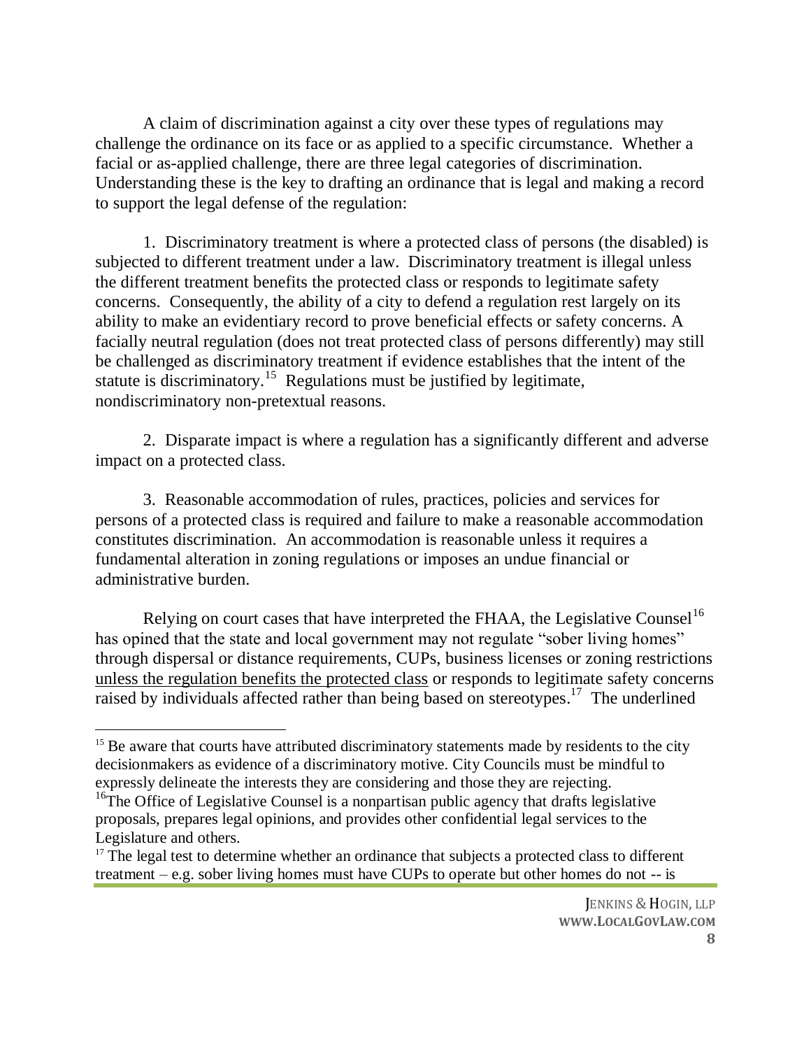A claim of discrimination against a city over these types of regulations may challenge the ordinance on its face or as applied to a specific circumstance. Whether a facial or as-applied challenge, there are three legal categories of discrimination. Understanding these is the key to drafting an ordinance that is legal and making a record to support the legal defense of the regulation:

1. Discriminatory treatment is where a protected class of persons (the disabled) is subjected to different treatment under a law. Discriminatory treatment is illegal unless the different treatment benefits the protected class or responds to legitimate safety concerns. Consequently, the ability of a city to defend a regulation rest largely on its ability to make an evidentiary record to prove beneficial effects or safety concerns. A facially neutral regulation (does not treat protected class of persons differently) may still be challenged as discriminatory treatment if evidence establishes that the intent of the statute is discriminatory.<sup>15</sup> Regulations must be justified by legitimate, nondiscriminatory non-pretextual reasons.

2. Disparate impact is where a regulation has a significantly different and adverse impact on a protected class.

3. Reasonable accommodation of rules, practices, policies and services for persons of a protected class is required and failure to make a reasonable accommodation constitutes discrimination. An accommodation is reasonable unless it requires a fundamental alteration in zoning regulations or imposes an undue financial or administrative burden.

Relying on court cases that have interpreted the FHAA, the Legislative Counsel<sup>16</sup> has opined that the state and local government may not regulate "sober living homes" through dispersal or distance requirements, CUPs, business licenses or zoning restrictions unless the regulation benefits the protected class or responds to legitimate safety concerns raised by individuals affected rather than being based on stereotypes.<sup>17</sup> The underlined

<sup>&</sup>lt;sup>15</sup> Be aware that courts have attributed discriminatory statements made by residents to the city decisionmakers as evidence of a discriminatory motive. City Councils must be mindful to expressly delineate the interests they are considering and those they are rejecting.

<sup>&</sup>lt;sup>16</sup>The Office of Legislative Counsel is a nonpartisan public agency that drafts legislative proposals, prepares legal opinions, and provides other confidential legal services to the Legislature and others.

 $17$  The legal test to determine whether an ordinance that subjects a protected class to different treatment – e.g. sober living homes must have CUPs to operate but other homes do not -- is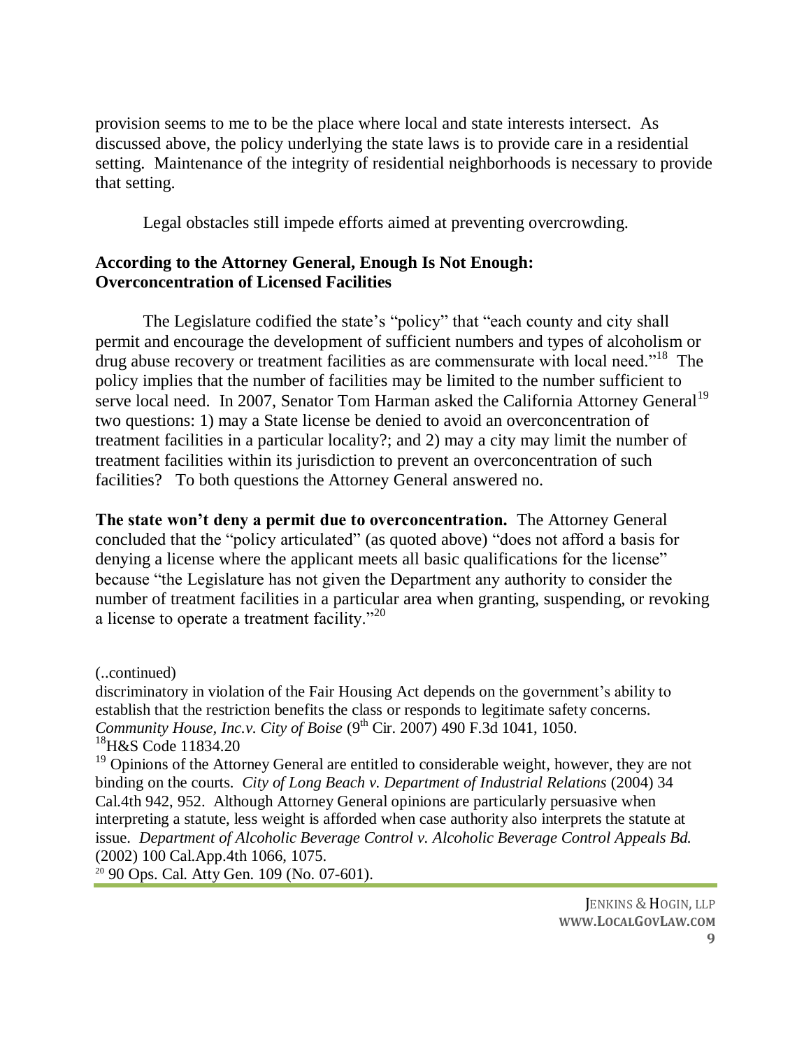provision seems to me to be the place where local and state interests intersect. As discussed above, the policy underlying the state laws is to provide care in a residential setting. Maintenance of the integrity of residential neighborhoods is necessary to provide that setting.

Legal obstacles still impede efforts aimed at preventing overcrowding.

#### **According to the Attorney General, Enough Is Not Enough: Overconcentration of Licensed Facilities**

The Legislature codified the state's "policy" that "each county and city shall permit and encourage the development of sufficient numbers and types of alcoholism or drug abuse recovery or treatment facilities as are commensurate with local need."<sup>18</sup> The policy implies that the number of facilities may be limited to the number sufficient to serve local need. In 2007, Senator Tom Harman asked the California Attorney General<sup>19</sup> two questions: 1) may a State license be denied to avoid an overconcentration of treatment facilities in a particular locality?; and 2) may a city may limit the number of treatment facilities within its jurisdiction to prevent an overconcentration of such facilities? To both questions the Attorney General answered no.

**The state won't deny a permit due to overconcentration.** The Attorney General concluded that the "policy articulated" (as quoted above) "does not afford a basis for denying a license where the applicant meets all basic qualifications for the license" because "the Legislature has not given the Department any authority to consider the number of treatment facilities in a particular area when granting, suspending, or revoking a license to operate a treatment facility."<sup>20</sup>

(..continued)

discriminatory in violation of the Fair Housing Act depends on the government's ability to establish that the restriction benefits the class or responds to legitimate safety concerns. *Community House, Inc.v. City of Boise* (9<sup>th</sup> Cir. 2007) 490 F.3d 1041, 1050. <sup>18</sup>H&S Code 11834.20

<sup>19</sup> Opinions of the Attorney General are entitled to considerable weight, however, they are not binding on the courts. *City of Long Beach v. Department of Industrial Relations* (2004) 34 Cal.4th 942, 952. Although Attorney General opinions are particularly persuasive when interpreting a statute, less weight is afforded when case authority also interprets the statute at issue. *Department of Alcoholic Beverage Control v. Alcoholic Beverage Control Appeals Bd.*  (2002) 100 Cal.App.4th 1066, 1075.

<sup>20</sup> 90 Ops. Cal. Atty Gen. 109 (No. 07-601).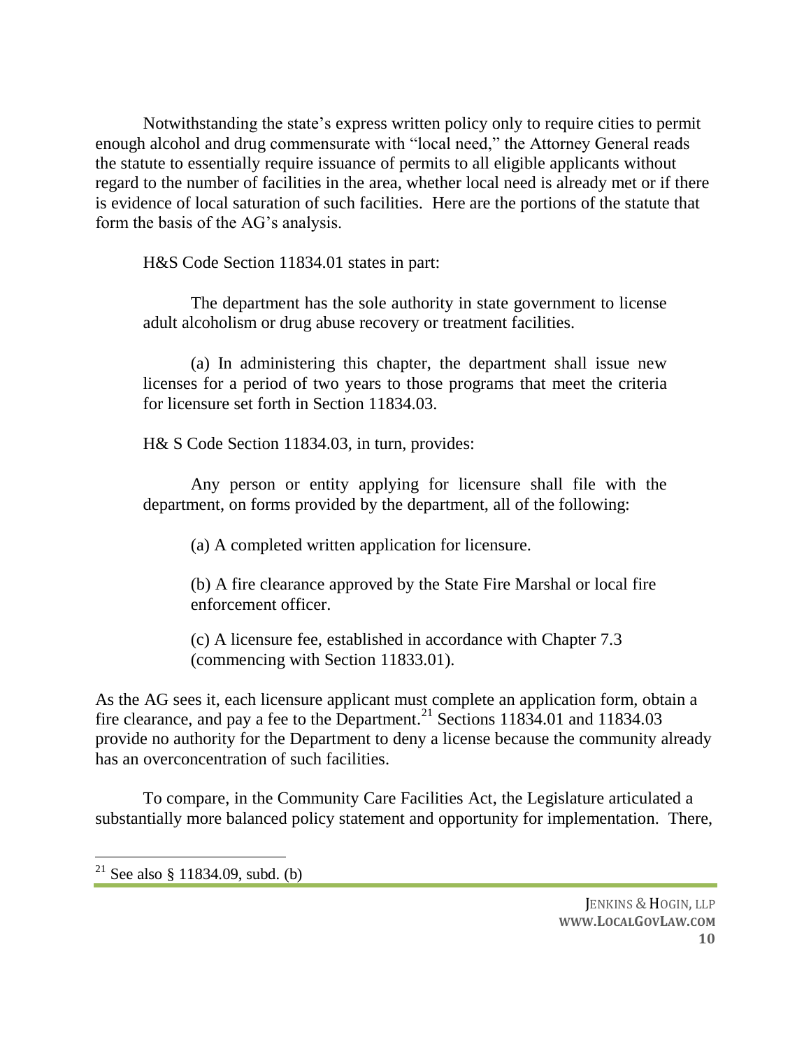Notwithstanding the state's express written policy only to require cities to permit enough alcohol and drug commensurate with "local need," the Attorney General reads the statute to essentially require issuance of permits to all eligible applicants without regard to the number of facilities in the area, whether local need is already met or if there is evidence of local saturation of such facilities. Here are the portions of the statute that form the basis of the AG's analysis.

H&S Code Section 11834.01 states in part:

The department has the sole authority in state government to license adult alcoholism or drug abuse recovery or treatment facilities.

(a) In administering this chapter, the department shall issue new licenses for a period of two years to those programs that meet the criteria for licensure set forth in Section 11834.03.

H& S Code Section 11834.03, in turn, provides:

Any person or entity applying for licensure shall file with the department, on forms provided by the department, all of the following:

(a) A completed written application for licensure.

(b) A fire clearance approved by the State Fire Marshal or local fire enforcement officer.

(c) A licensure fee, established in accordance with Chapter 7.3 (commencing with Section 11833.01).

As the AG sees it, each licensure applicant must complete an application form, obtain a fire clearance, and pay a fee to the Department.<sup>21</sup> Sections 11834.01 and 11834.03 provide no authority for the Department to deny a license because the community already has an overconcentration of such facilities.

To compare, in the Community Care Facilities Act, the Legislature articulated a substantially more balanced policy statement and opportunity for implementation. There,

 $\overline{a}$ <sup>21</sup> See also § 11834.09, subd. (b)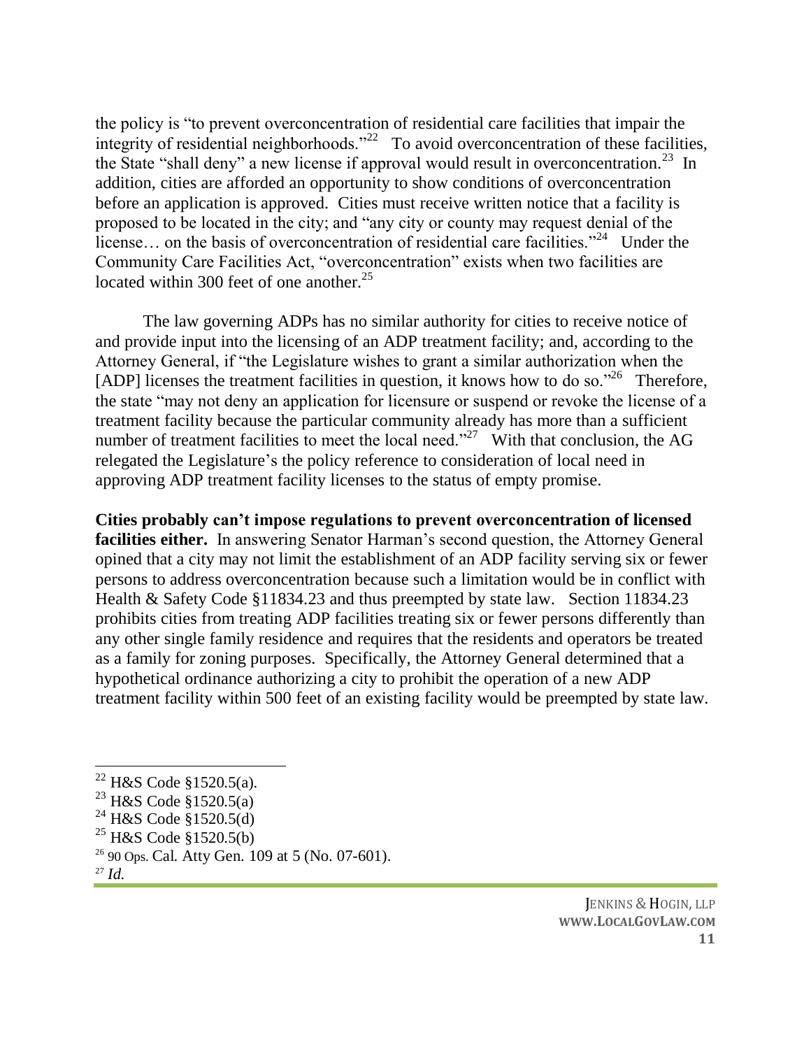the policy is "to prevent overconcentration of residential care facilities that impair the integrity of residential neighborhoods."<sup>22</sup> To avoid overconcentration of these facilities, the State "shall deny" a new license if approval would result in overconcentration.<sup>23</sup> In addition, cities are afforded an opportunity to show conditions of overconcentration before an application is approved. Cities must receive written notice that a facility is proposed to be located in the city; and "any city or county may request denial of the license... on the basis of overconcentration of residential care facilities."<sup>24</sup> Under the Community Care Facilities Act, "overconcentration" exists when two facilities are located within 300 feet of one another.<sup>25</sup>

The law governing ADPs has no similar authority for cities to receive notice of and provide input into the licensing of an ADP treatment facility; and, according to the Attorney General, if "the Legislature wishes to grant a similar authorization when the [ADP] licenses the treatment facilities in question, it knows how to do so."<sup>26</sup> Therefore, the state "may not deny an application for licensure or suspend or revoke the license of a treatment facility because the particular community already has more than a sufficient number of treatment facilities to meet the local need."<sup>27</sup> With that conclusion, the AG relegated the Legislature's the policy reference to consideration of local need in approving ADP treatment facility licenses to the status of empty promise.

**Cities probably can't impose regulations to prevent overconcentration of licensed facilities either.** In answering Senator Harman's second question, the Attorney General opined that a city may not limit the establishment of an ADP facility serving six or fewer persons to address overconcentration because such a limitation would be in conflict with Health & Safety Code §11834.23 and thus preempted by state law. Section 11834.23 prohibits cities from treating ADP facilities treating six or fewer persons differently than any other single family residence and requires that the residents and operators be treated as a family for zoning purposes. Specifically, the Attorney General determined that a hypothetical ordinance authorizing a city to prohibit the operation of a new ADP treatment facility within 500 feet of an existing facility would be preempted by state law.

- <sup>25</sup> H&S Code §1520.5(b)
- $26$  90 Ops. Cal. Atty Gen. 109 at 5 (No. 07-601).
- <sup>27</sup> *Id.*

 $\overline{a}$ 

 $22$  H&S Code §1520.5(a).

<sup>23</sup> H&S Code §1520.5(a)

<sup>&</sup>lt;sup>24</sup> H&S Code §1520.5(d)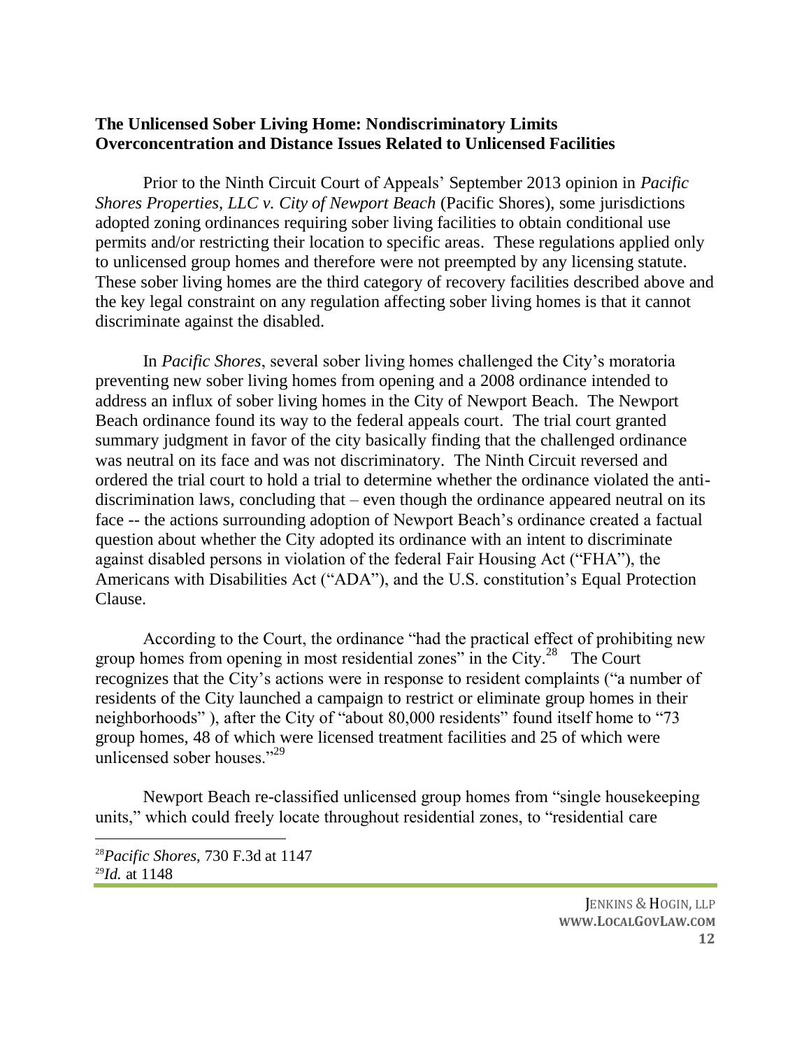#### **The Unlicensed Sober Living Home: Nondiscriminatory Limits Overconcentration and Distance Issues Related to Unlicensed Facilities**

Prior to the Ninth Circuit Court of Appeals' September 2013 opinion in *Pacific Shores Properties, LLC v. City of Newport Beach* (Pacific Shores), some jurisdictions adopted zoning ordinances requiring sober living facilities to obtain conditional use permits and/or restricting their location to specific areas. These regulations applied only to unlicensed group homes and therefore were not preempted by any licensing statute. These sober living homes are the third category of recovery facilities described above and the key legal constraint on any regulation affecting sober living homes is that it cannot discriminate against the disabled.

In *Pacific Shores*, several sober living homes challenged the City's moratoria preventing new sober living homes from opening and a 2008 ordinance intended to address an influx of sober living homes in the City of Newport Beach. The Newport Beach ordinance found its way to the federal appeals court. The trial court granted summary judgment in favor of the city basically finding that the challenged ordinance was neutral on its face and was not discriminatory. The Ninth Circuit reversed and ordered the trial court to hold a trial to determine whether the ordinance violated the antidiscrimination laws, concluding that – even though the ordinance appeared neutral on its face -- the actions surrounding adoption of Newport Beach's ordinance created a factual question about whether the City adopted its ordinance with an intent to discriminate against disabled persons in violation of the federal Fair Housing Act ("FHA"), the Americans with Disabilities Act ("ADA"), and the U.S. constitution's Equal Protection Clause.

According to the Court, the ordinance "had the practical effect of prohibiting new group homes from opening in most residential zones" in the City. $^{28}$  The Court recognizes that the City's actions were in response to resident complaints ("a number of residents of the City launched a campaign to restrict or eliminate group homes in their neighborhoods" ), after the City of "about 80,000 residents" found itself home to "73 group homes, 48 of which were licensed treatment facilities and 25 of which were unlicensed sober houses."<sup>29</sup>

Newport Beach re-classified unlicensed group homes from "single housekeeping units," which could freely locate throughout residential zones, to "residential care

<sup>28</sup>*Pacific Shores*, 730 F.3d at 1147 <sup>29</sup>*Id.* at 1148

 $\overline{a}$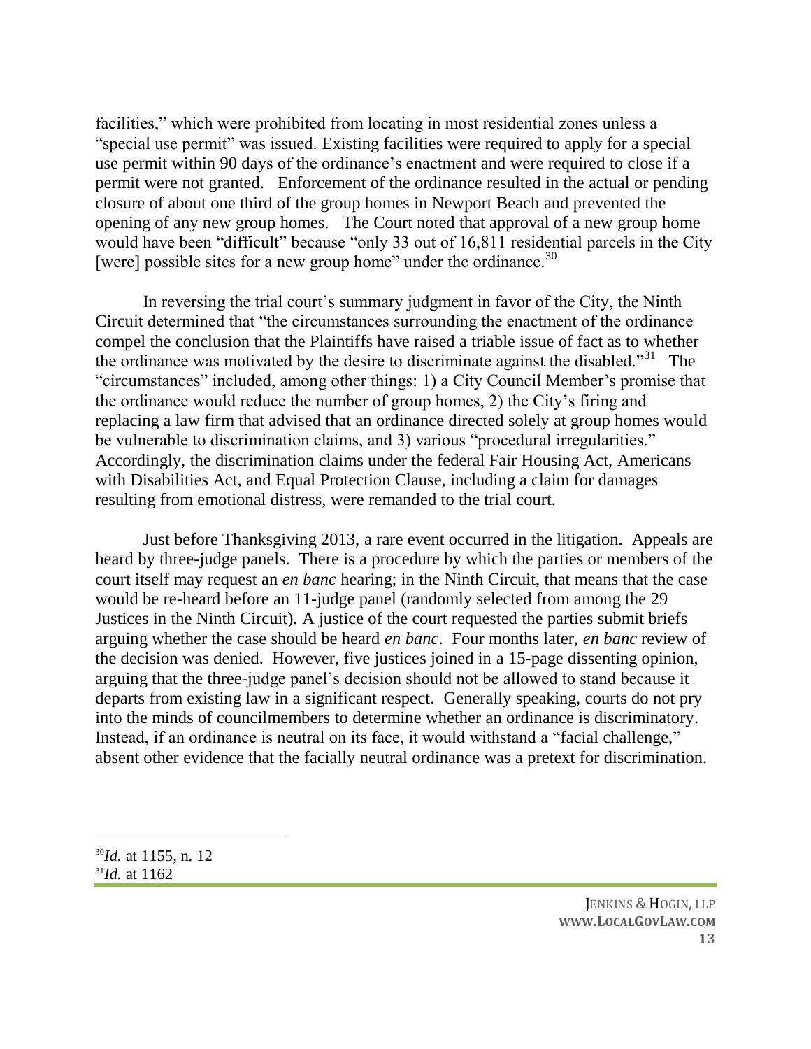facilities," which were prohibited from locating in most residential zones unless a "special use permit" was issued. Existing facilities were required to apply for a special use permit within 90 days of the ordinance's enactment and were required to close if a permit were not granted. Enforcement of the ordinance resulted in the actual or pending closure of about one third of the group homes in Newport Beach and prevented the opening of any new group homes. The Court noted that approval of a new group home would have been "difficult" because "only 33 out of 16,811 residential parcels in the City [were] possible sites for a new group home" under the ordinance. $30$ 

In reversing the trial court's summary judgment in favor of the City, the Ninth Circuit determined that "the circumstances surrounding the enactment of the ordinance compel the conclusion that the Plaintiffs have raised a triable issue of fact as to whether the ordinance was motivated by the desire to discriminate against the disabled."<sup>31</sup> The "circumstances" included, among other things: 1) a City Council Member's promise that the ordinance would reduce the number of group homes, 2) the City's firing and replacing a law firm that advised that an ordinance directed solely at group homes would be vulnerable to discrimination claims, and 3) various "procedural irregularities." Accordingly, the discrimination claims under the federal Fair Housing Act, Americans with Disabilities Act, and Equal Protection Clause, including a claim for damages resulting from emotional distress, were remanded to the trial court.

Just before Thanksgiving 2013, a rare event occurred in the litigation. Appeals are heard by three-judge panels. There is a procedure by which the parties or members of the court itself may request an *en banc* hearing; in the Ninth Circuit, that means that the case would be re-heard before an 11-judge panel (randomly selected from among the 29 Justices in the Ninth Circuit). A justice of the court requested the parties submit briefs arguing whether the case should be heard *en banc*. Four months later, *en banc* review of the decision was denied. However, five justices joined in a 15-page dissenting opinion, arguing that the three-judge panel's decision should not be allowed to stand because it departs from existing law in a significant respect. Generally speaking, courts do not pry into the minds of councilmembers to determine whether an ordinance is discriminatory. Instead, if an ordinance is neutral on its face, it would withstand a "facial challenge," absent other evidence that the facially neutral ordinance was a pretext for discrimination.

<sup>30</sup>*Id.* at 1155, n. 12 <sup>31</sup>*Id.* at 1162

JENKINS & HOGIN, LLP **WWW.LOCALGOVLAW.COM 13**